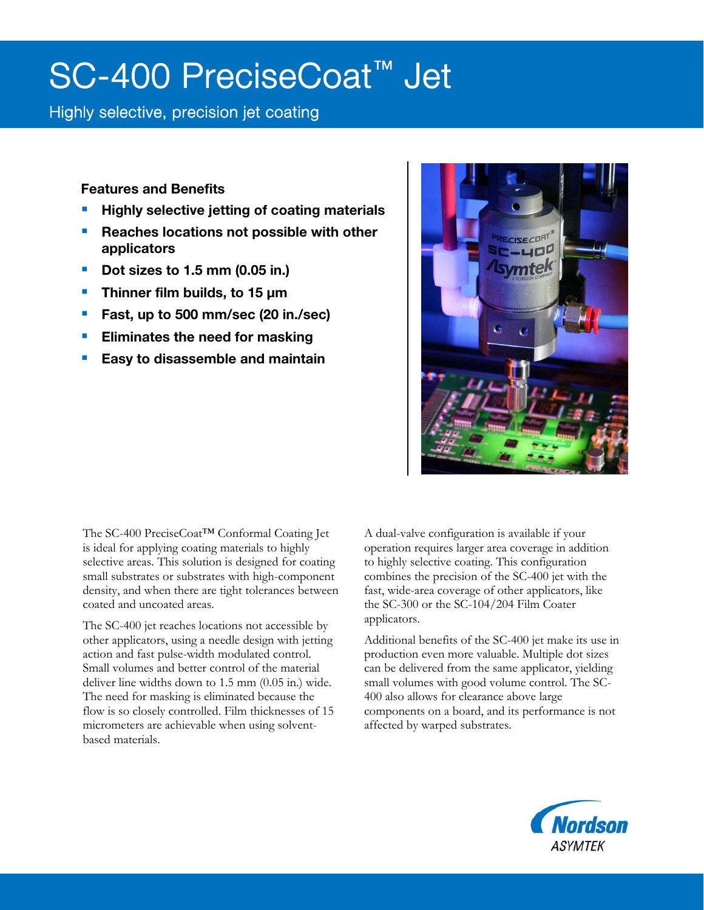# SC-400 PreciseCoat™ Jet

### Highly selective, precision jet coating

Features and Benefits

- Highly selective jetting of coating materials
- **Reaches locations not possible with other** applicators
- Dot sizes to 1.5 mm (0.05 in.)
- **Thinner film builds, to 15**  $\mu$ **m**
- **Fast, up to 500 mm/sec (20 in./sec)**
- Eliminates the need for masking
- Easy to disassemble and maintain



The SC-400 PreciseCoat™ Conformal Coating Jet is ideal for applying coating materials to highly selective areas. This solution is designed for coating small substrates or substrates with high-component density, and when there are tight tolerances between coated and uncoated areas.

The SC-400 jet reaches locations not accessible by other applicators, using a needle design with jetting action and fast pulse-width modulated control. Small volumes and better control of the material deliver line widths down to 1.5 mm (0.05 in.) wide. The need for masking is eliminated because the flow is so closely controlled. Film thicknesses of 15 micrometers are achievable when using solventbased materials.

A dual-valve configuration is available if your operation requires larger area coverage in addition to highly selective coating. This configuration combines the precision of the SC-400 jet with the fast, wide-area coverage of other applicators, like the SC-300 or the SC-104/204 Film Coater applicators.

Additional benefits of the SC-400 jet make its use in production even more valuable. Multiple dot sizes can be delivered from the same applicator, yielding small volumes with good volume control. The SC-400 also allows for clearance above large components on a board, and its performance is not affected by warped substrates.